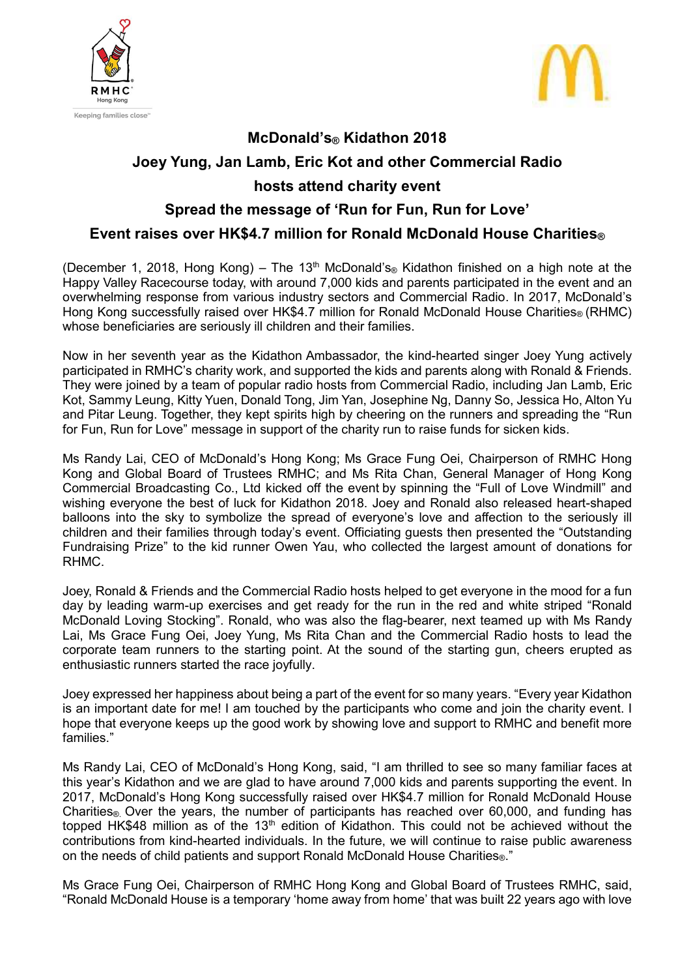



## **McDonald's® Kidathon 2018 Joey Yung, Jan Lamb, Eric Kot and other Commercial Radio hosts attend charity event**

## **Spread the message of 'Run for Fun, Run for Love'**

## **Event raises over HK\$4.7 million for Ronald McDonald House Charities®**

(December 1, 2018, Hong Kong) – The 13<sup>th</sup> McDonald's<sup>®</sup> Kidathon finished on a high note at the Happy Valley Racecourse today, with around 7,000 kids and parents participated in the event and an overwhelming response from various industry sectors and Commercial Radio. In 2017, McDonald's Hong Kong successfully raised over HK\$4.7 million for Ronald McDonald House Charities<sup>®</sup> (RHMC) whose beneficiaries are seriously ill children and their families.

Now in her seventh year as the Kidathon Ambassador, the kind-hearted singer Joey Yung actively participated in RMHC's charity work, and supported the kids and parents along with Ronald & Friends. They were joined by a team of popular radio hosts from Commercial Radio, including Jan Lamb, Eric Kot, Sammy Leung, Kitty Yuen, Donald Tong, Jim Yan, Josephine Ng, Danny So, Jessica Ho, Alton Yu and Pitar Leung. Together, they kept spirits high by cheering on the runners and spreading the "Run for Fun, Run for Love" message in support of the charity run to raise funds for sicken kids.

Ms Randy Lai, CEO of McDonald's Hong Kong; Ms Grace Fung Oei, Chairperson of RMHC Hong Kong and Global Board of Trustees RMHC; and Ms Rita Chan, General Manager of Hong Kong Commercial Broadcasting Co., Ltd kicked off the event by spinning the "Full of Love Windmill" and wishing everyone the best of luck for Kidathon 2018. Joey and Ronald also released heart-shaped balloons into the sky to symbolize the spread of everyone's love and affection to the seriously ill children and their families through today's event. Officiating guests then presented the "Outstanding Fundraising Prize" to the kid runner Owen Yau, who collected the largest amount of donations for RHMC.

Joey, Ronald & Friends and the Commercial Radio hosts helped to get everyone in the mood for a fun day by leading warm-up exercises and get ready for the run in the red and white striped "Ronald McDonald Loving Stocking". Ronald, who was also the flag-bearer, next teamed up with Ms Randy Lai, Ms Grace Fung Oei, Joey Yung, Ms Rita Chan and the Commercial Radio hosts to lead the corporate team runners to the starting point. At the sound of the starting gun, cheers erupted as enthusiastic runners started the race joyfully.

Joey expressed her happiness about being a part of the event for so many years. "Every year Kidathon is an important date for me! I am touched by the participants who come and join the charity event. I hope that everyone keeps up the good work by showing love and support to RMHC and benefit more families."

Ms Randy Lai, CEO of McDonald's Hong Kong, said, "I am thrilled to see so many familiar faces at this year's Kidathon and we are glad to have around 7,000 kids and parents supporting the event. In 2017, McDonald's Hong Kong successfully raised over HK\$4.7 million for Ronald McDonald House Charities<sup>®</sup>. Over the years, the number of participants has reached over 60,000, and funding has topped HK\$48 million as of the 13<sup>th</sup> edition of Kidathon. This could not be achieved without the contributions from kind-hearted individuals. In the future, we will continue to raise public awareness on the needs of child patients and support Ronald McDonald House Charities<sup>®</sup>."

Ms Grace Fung Oei, Chairperson of RMHC Hong Kong and Global Board of Trustees RMHC, said, "Ronald McDonald House is a temporary 'home away from home' that was built 22 years ago with love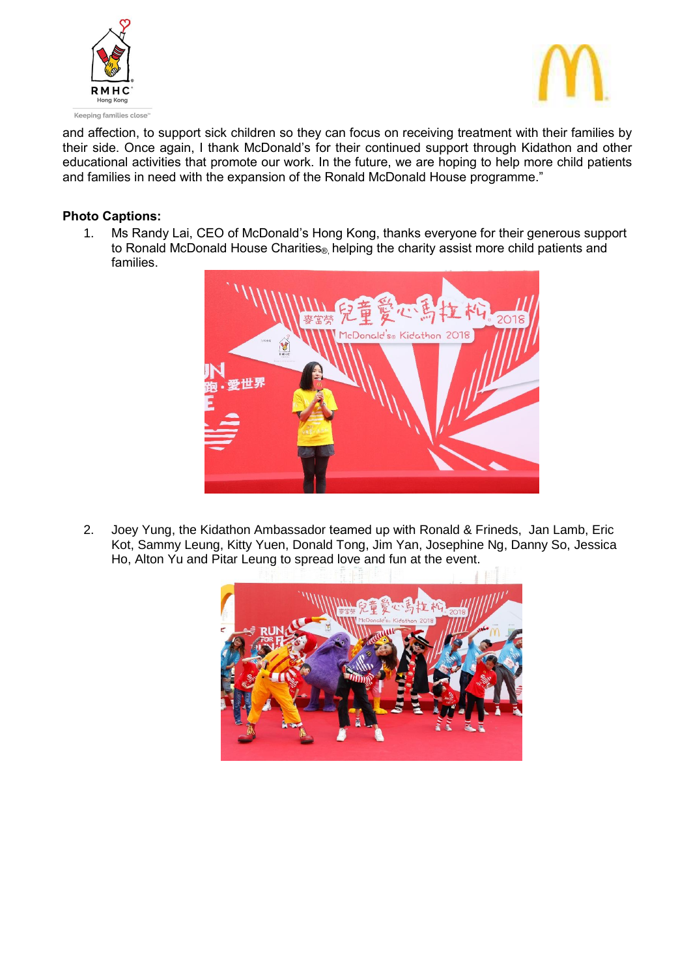



and affection, to support sick children so they can focus on receiving treatment with their families by their side. Once again, I thank McDonald's for their continued support through Kidathon and other educational activities that promote our work. In the future, we are hoping to help more child patients and families in need with the expansion of the Ronald McDonald House programme."

## **Photo Captions:**

1. Ms Randy Lai, CEO of McDonald's Hong Kong, thanks everyone for their generous support to Ronald McDonald House Charities<sup>®</sup> helping the charity assist more child patients and families.



2. Joey Yung, the Kidathon Ambassador teamed up with Ronald & Frineds, Jan Lamb, Eric Kot, Sammy Leung, Kitty Yuen, Donald Tong, Jim Yan, Josephine Ng, Danny So, Jessica Ho, Alton Yu and Pitar Leung to spread love and fun at the event.

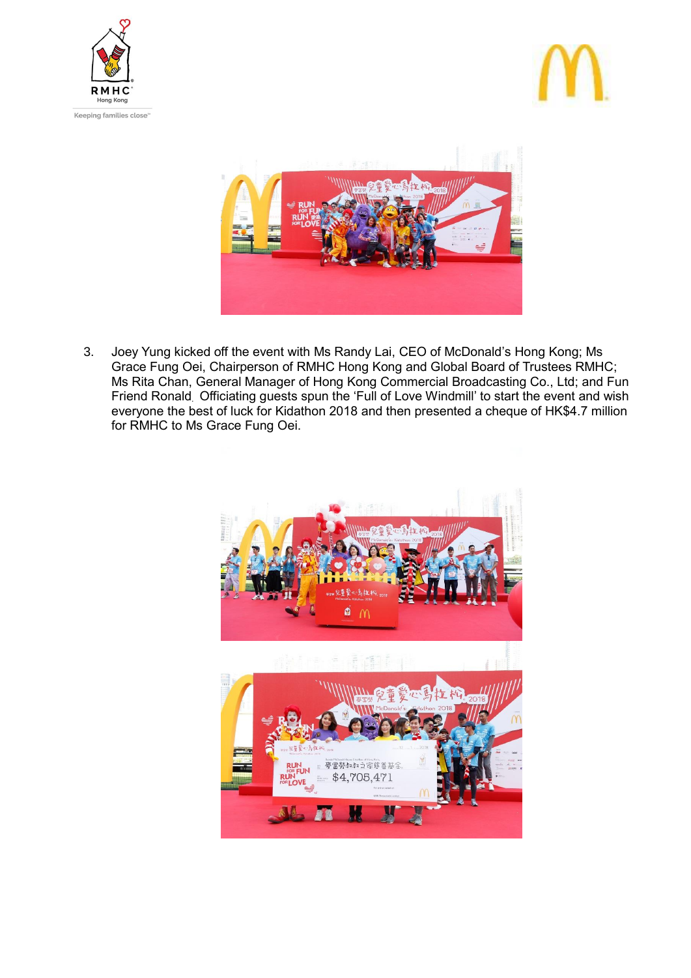





3. Joey Yung kicked off the event with Ms Randy Lai, CEO of McDonald's Hong Kong; Ms Grace Fung Oei, Chairperson of RMHC Hong Kong and Global Board of Trustees RMHC; Ms Rita Chan, General Manager of Hong Kong Commercial Broadcasting Co., Ltd; and Fun Friend Ronald. Officiating guests spun the 'Full of Love Windmill' to start the event and wish everyone the best of luck for Kidathon 2018 and then presented a cheque of HK\$4.7 million for RMHC to Ms Grace Fung Oei.

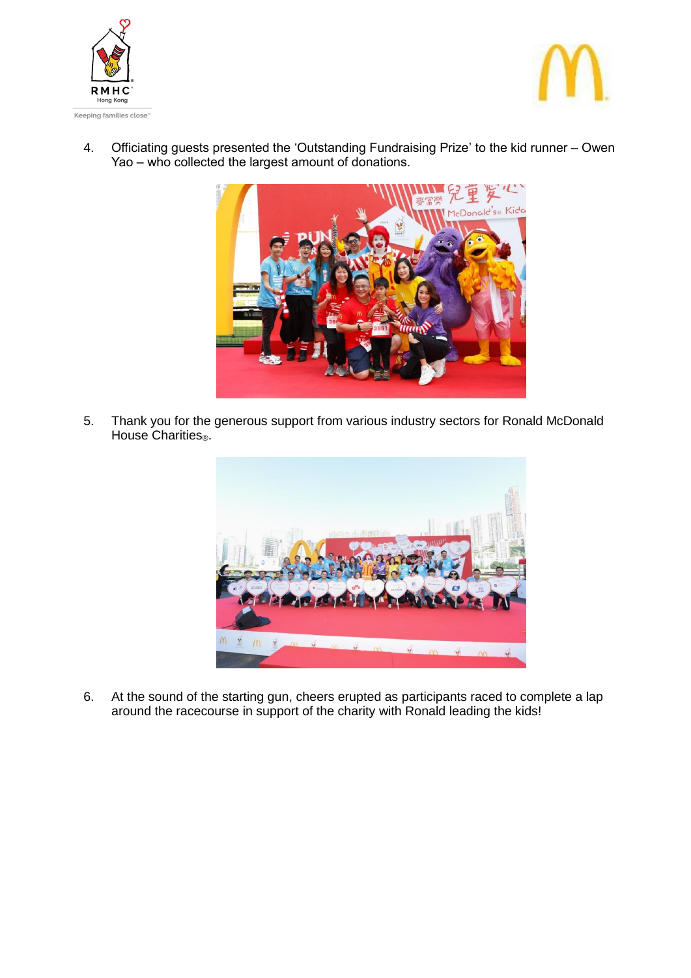



4. Officiating guests presented the 'Outstanding Fundraising Prize' to the kid runner – Owen Yao – who collected the largest amount of donations.



5. Thank you for the generous support from various industry sectors for Ronald McDonald House Charities<sup>®</sup>.



6. At the sound of the starting gun, cheers erupted as participants raced to complete a lap around the racecourse in support of the charity with Ronald leading the kids!